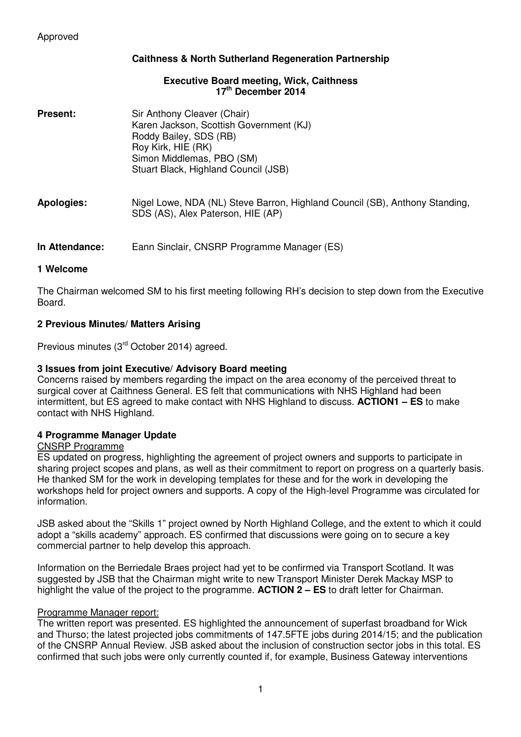# **Caithness & North Sutherland Regeneration Partnership**

## **Executive Board meeting, Wick, Caithness 17th December 2014**

| <b>Present:</b> | Sir Anthony Cleaver (Chair)<br>Karen Jackson, Scottish Government (KJ)<br>Roddy Bailey, SDS (RB)<br>Roy Kirk, HIE (RK)<br>Simon Middlemas, PBO (SM)<br>Stuart Black, Highland Council (JSB) |
|-----------------|---------------------------------------------------------------------------------------------------------------------------------------------------------------------------------------------|
| Apologies:      | Nigel Lowe, NDA (NL) Steve Barron, Highland Council (SB), Anthony Standing,<br>SDS (AS), Alex Paterson, HIE (AP)                                                                            |
| In Attendance:  | Eann Sinclair, CNSRP Programme Manager (ES)                                                                                                                                                 |

## **1 Welcome**

The Chairman welcomed SM to his first meeting following RH's decision to step down from the Executive Board.

## **2 Previous Minutes/ Matters Arising**

Previous minutes (3<sup>rd</sup> October 2014) agreed.

## **3 Issues from joint Executive/ Advisory Board meeting**

Concerns raised by members regarding the impact on the area economy of the perceived threat to surgical cover at Caithness General. ES felt that communications with NHS Highland had been intermittent, but ES agreed to make contact with NHS Highland to discuss. **ACTION1 – ES** to make contact with NHS Highland.

## **4 Programme Manager Update**

## CNSRP Programme

ES updated on progress, highlighting the agreement of project owners and supports to participate in sharing project scopes and plans, as well as their commitment to report on progress on a quarterly basis. He thanked SM for the work in developing templates for these and for the work in developing the workshops held for project owners and supports. A copy of the High-level Programme was circulated for information.

JSB asked about the "Skills 1" project owned by North Highland College, and the extent to which it could adopt a "skills academy" approach. ES confirmed that discussions were going on to secure a key commercial partner to help develop this approach.

Information on the Berriedale Braes project had yet to be confirmed via Transport Scotland. It was suggested by JSB that the Chairman might write to new Transport Minister Derek Mackay MSP to highlight the value of the project to the programme. **ACTION 2 – ES** to draft letter for Chairman.

## Programme Manager report:

The written report was presented. ES highlighted the announcement of superfast broadband for Wick and Thurso; the latest projected jobs commitments of 147.5FTE jobs during 2014/15; and the publication of the CNSRP Annual Review. JSB asked about the inclusion of construction sector jobs in this total. ES confirmed that such jobs were only currently counted if, for example, Business Gateway interventions